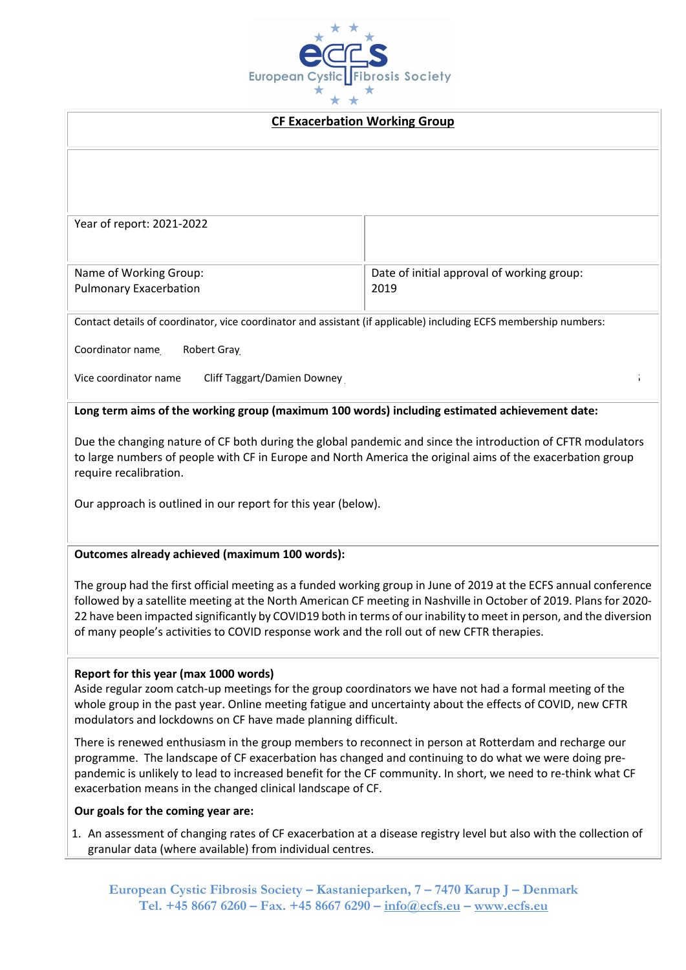

#### **CF Exacerbation Working Group**

Name of Working Group: Pulmonary Exacerbation Date of initial approval of working group: 2019

Contact details of coordinator, vice coordinator and assistant (if applicable) including ECFS membership numbers:

Coordinator name\_\_\_\_Robert Gray\_\_\_\_\_\_Email address \_r.d.gray@ed.ac.uk\_\_ECFS Membership number\_\_2104\_\_\_\_\_\_\_\_

Vice coordinator name \_\_\_\_Cliff Taggart/Damien Downey

## **Long term aims of the working group (maximum 100 words) including estimated achievement date:**

Due the changing nature of CF both during the global pandemic and since the introduction of CFTR modulators to large numbers of people with CF in Europe and North America the original aims of the exacerbation group require recalibration.

Our approach is outlined in our report for this year (below).

### **Outcomes already achieved (maximum 100 words):**

The group had the first official meeting as a funded working group in June of 2019 at the ECFS annual conference followed by a satellite meeting at the North American CF meeting in Nashville in October of 2019. Plans for 2020- 22 have been impacted significantly by COVID19 both in terms of our inability to meet in person, and the diversion of many people's activities to COVID response work and the roll out of new CFTR therapies.

### **Report for this year (max 1000 words)**

Aside regular zoom catch-up meetings for the group coordinators we have not had a formal meeting of the whole group in the past year. Online meeting fatigue and uncertainty about the effects of COVID, new CFTR modulators and lockdowns on CF have made planning difficult.

There is renewed enthusiasm in the group members to reconnect in person at Rotterdam and recharge our programme. The landscape of CF exacerbation has changed and continuing to do what we were doing prepandemic is unlikely to lead to increased benefit for the CF community. In short, we need to re-think what CF exacerbation means in the changed clinical landscape of CF.

### **Our goals for the coming year are:**

1. An assessment of changing rates of CF exacerbation at a disease registry level but also with the collection of granular data (where available) from individual centres.

**European Cystic Fibrosis Society – Kastanieparken, 7 – 7470 Karup J – Denmark Tel. +45 8667 6260 – Fax. +45 8667 6290 – info@ecfs.eu – www.ecfs.eu**